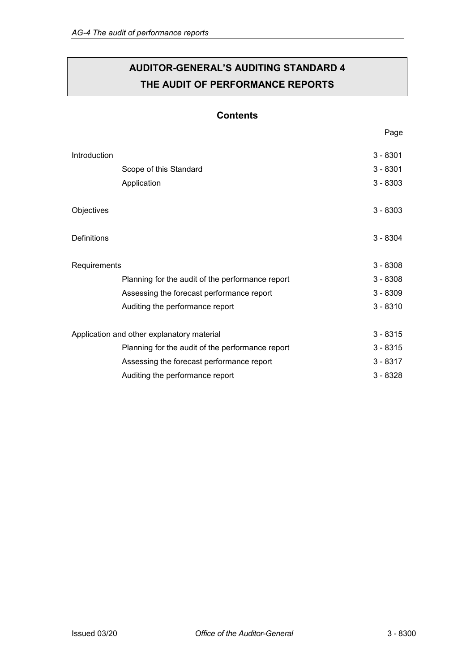# **AUDITOR-GENERAL'S AUDITING STANDARD 4 THE AUDIT OF PERFORMANCE REPORTS**

# **Contents**

| Introduction                               |                                                  | $3 - 8301$ |
|--------------------------------------------|--------------------------------------------------|------------|
|                                            | Scope of this Standard                           | $3 - 8301$ |
|                                            | Application                                      | $3 - 8303$ |
| Objectives                                 |                                                  | $3 - 8303$ |
| Definitions                                |                                                  | $3 - 8304$ |
| Requirements                               |                                                  | $3 - 8308$ |
|                                            | Planning for the audit of the performance report | $3 - 8308$ |
|                                            | Assessing the forecast performance report        | $3 - 8309$ |
|                                            | Auditing the performance report                  | $3 - 8310$ |
| Application and other explanatory material |                                                  | $3 - 8315$ |
|                                            | Planning for the audit of the performance report | $3 - 8315$ |
|                                            | Assessing the forecast performance report        | $3 - 8317$ |
|                                            | Auditing the performance report                  | $3 - 8328$ |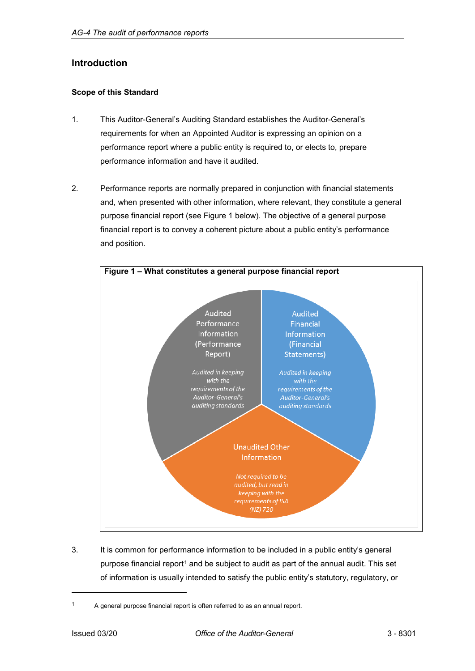# <span id="page-1-0"></span>**Introduction**

# <span id="page-1-1"></span>**Scope of this Standard**

- 1. This Auditor-General's Auditing Standard establishes the Auditor-General's requirements for when an Appointed Auditor is expressing an opinion on a performance report where a public entity is required to, or elects to, prepare performance information and have it audited.
- 2. Performance reports are normally prepared in conjunction with financial statements and, when presented with other information, where relevant, they constitute a general purpose financial report (see Figure 1 below). The objective of a general purpose financial report is to convey a coherent picture about a public entity's performance and position.



3. It is common for performance information to be included in a public entity's general purpose financial report<sup>[1](#page-1-2)</sup> and be subject to audit as part of the annual audit. This set of information is usually intended to satisfy the public entity's statutory, regulatory, or

j

<span id="page-1-2"></span><sup>&</sup>lt;sup>1</sup> A general purpose financial report is often referred to as an annual report.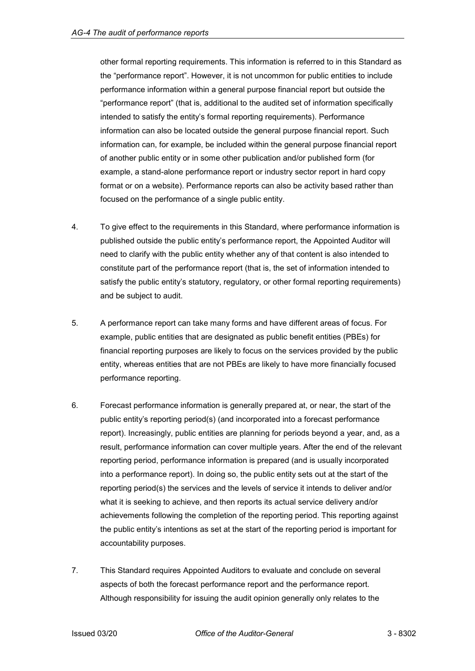other formal reporting requirements. This information is referred to in this Standard as the "performance report". However, it is not uncommon for public entities to include performance information within a general purpose financial report but outside the "performance report" (that is, additional to the audited set of information specifically intended to satisfy the entity's formal reporting requirements). Performance information can also be located outside the general purpose financial report. Such information can, for example, be included within the general purpose financial report of another public entity or in some other publication and/or published form (for example, a stand-alone performance report or industry sector report in hard copy format or on a website). Performance reports can also be activity based rather than focused on the performance of a single public entity.

- 4. To give effect to the requirements in this Standard, where performance information is published outside the public entity's performance report, the Appointed Auditor will need to clarify with the public entity whether any of that content is also intended to constitute part of the performance report (that is, the set of information intended to satisfy the public entity's statutory, regulatory, or other formal reporting requirements) and be subject to audit.
- 5. A performance report can take many forms and have different areas of focus. For example, public entities that are designated as public benefit entities (PBEs) for financial reporting purposes are likely to focus on the services provided by the public entity, whereas entities that are not PBEs are likely to have more financially focused performance reporting.
- 6. Forecast performance information is generally prepared at, or near, the start of the public entity's reporting period(s) (and incorporated into a forecast performance report). Increasingly, public entities are planning for periods beyond a year, and, as a result, performance information can cover multiple years. After the end of the relevant reporting period, performance information is prepared (and is usually incorporated into a performance report). In doing so, the public entity sets out at the start of the reporting period(s) the services and the levels of service it intends to deliver and/or what it is seeking to achieve, and then reports its actual service delivery and/or achievements following the completion of the reporting period. This reporting against the public entity's intentions as set at the start of the reporting period is important for accountability purposes.
- 7. This Standard requires Appointed Auditors to evaluate and conclude on several aspects of both the forecast performance report and the performance report. Although responsibility for issuing the audit opinion generally only relates to the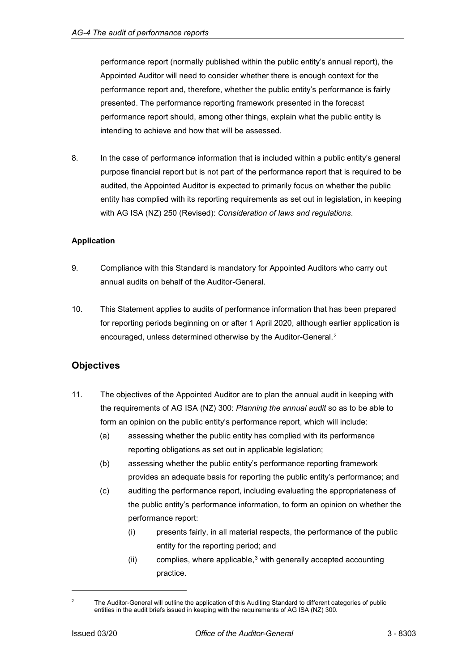performance report (normally published within the public entity's annual report), the Appointed Auditor will need to consider whether there is enough context for the performance report and, therefore, whether the public entity's performance is fairly presented. The performance reporting framework presented in the forecast performance report should, among other things, explain what the public entity is intending to achieve and how that will be assessed.

8. In the case of performance information that is included within a public entity's general purpose financial report but is not part of the performance report that is required to be audited, the Appointed Auditor is expected to primarily focus on whether the public entity has complied with its reporting requirements as set out in legislation, in keeping with AG ISA (NZ) 250 (Revised): *Consideration of laws and regulations*.

# <span id="page-3-0"></span>**Application**

- 9. Compliance with this Standard is mandatory for Appointed Auditors who carry out annual audits on behalf of the Auditor-General.
- 10. This Statement applies to audits of performance information that has been prepared for reporting periods beginning on or after 1 April 2020, although earlier application is encouraged, unless determined otherwise by the Auditor-General.[2](#page-3-2)

# <span id="page-3-1"></span>**Objectives**

- 11. The objectives of the Appointed Auditor are to plan the annual audit in keeping with the requirements of AG ISA (NZ) 300: *Planning the annual audit* so as to be able to form an opinion on the public entity's performance report, which will include:
	- (a) assessing whether the public entity has complied with its performance reporting obligations as set out in applicable legislation;
	- (b) assessing whether the public entity's performance reporting framework provides an adequate basis for reporting the public entity's performance; and
	- (c) auditing the performance report, including evaluating the appropriateness of the public entity's performance information, to form an opinion on whether the performance report:
		- (i) presents fairly, in all material respects, the performance of the public entity for the reporting period; and
		- $(ii)$  complies, where applicable,<sup>[3](#page-3-3)</sup> with generally accepted accounting practice.

j

<span id="page-3-3"></span><span id="page-3-2"></span><sup>&</sup>lt;sup>2</sup> The Auditor-General will outline the application of this Auditing Standard to different categories of public entities in the audit briefs issued in keeping with the requirements of AG ISA (NZ) 300.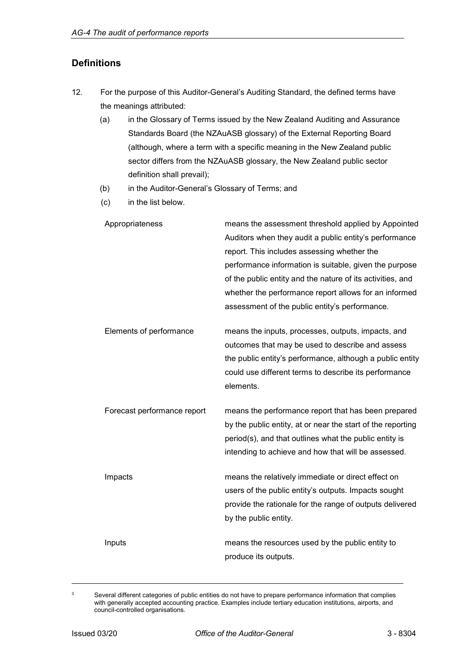# <span id="page-4-0"></span>**Definitions**

- 12. For the purpose of this Auditor-General's Auditing Standard, the defined terms have the meanings attributed:
	- (a) in the Glossary of Terms issued by the New Zealand Auditing and Assurance Standards Board (the NZAuASB glossary) of the External Reporting Board (although, where a term with a specific meaning in the New Zealand public sector differs from the NZAuASB glossary, the New Zealand public sector definition shall prevail);
	- (b) in the Auditor-General's Glossary of Terms; and
	- (c) in the list below.

| Appropriateness             | means the assessment threshold applied by Appointed<br>Auditors when they audit a public entity's performance<br>report. This includes assessing whether the<br>performance information is suitable, given the purpose<br>of the public entity and the nature of its activities, and<br>whether the performance report allows for an informed<br>assessment of the public entity's performance. |
|-----------------------------|-------------------------------------------------------------------------------------------------------------------------------------------------------------------------------------------------------------------------------------------------------------------------------------------------------------------------------------------------------------------------------------------------|
| Elements of performance     | means the inputs, processes, outputs, impacts, and<br>outcomes that may be used to describe and assess<br>the public entity's performance, although a public entity<br>could use different terms to describe its performance<br>elements.                                                                                                                                                       |
| Forecast performance report | means the performance report that has been prepared<br>by the public entity, at or near the start of the reporting<br>period(s), and that outlines what the public entity is<br>intending to achieve and how that will be assessed.                                                                                                                                                             |
| Impacts                     | means the relatively immediate or direct effect on<br>users of the public entity's outputs. Impacts sought<br>provide the rationale for the range of outputs delivered<br>by the public entity.                                                                                                                                                                                                 |
| Inputs                      | means the resources used by the public entity to<br>produce its outputs.                                                                                                                                                                                                                                                                                                                        |

-

<sup>&</sup>lt;sup>3</sup> Several different categories of public entities do not have to prepare performance information that complies with generally accepted accounting practice. Examples include tertiary education institutions, airports, and council-controlled organisations.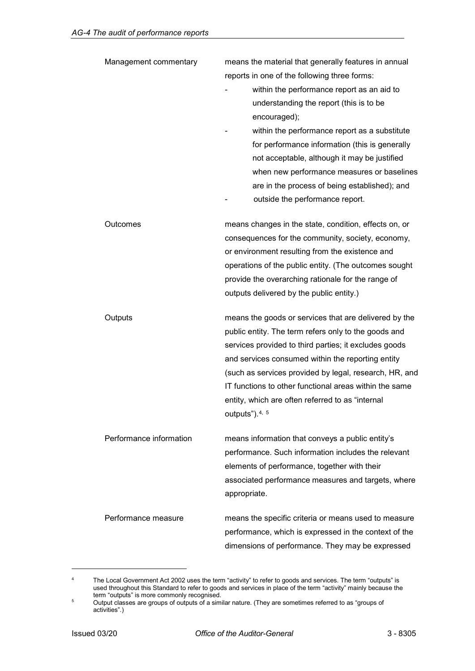| Management commentary   | means the material that generally features in annual<br>reports in one of the following three forms:<br>within the performance report as an aid to<br>understanding the report (this is to be<br>encouraged);<br>within the performance report as a substitute<br>for performance information (this is generally<br>not acceptable, although it may be justified<br>when new performance measures or baselines<br>are in the process of being established); and<br>outside the performance report. |
|-------------------------|----------------------------------------------------------------------------------------------------------------------------------------------------------------------------------------------------------------------------------------------------------------------------------------------------------------------------------------------------------------------------------------------------------------------------------------------------------------------------------------------------|
| Outcomes                | means changes in the state, condition, effects on, or<br>consequences for the community, society, economy,<br>or environment resulting from the existence and<br>operations of the public entity. (The outcomes sought<br>provide the overarching rationale for the range of<br>outputs delivered by the public entity.)                                                                                                                                                                           |
| Outputs                 | means the goods or services that are delivered by the<br>public entity. The term refers only to the goods and<br>services provided to third parties; it excludes goods<br>and services consumed within the reporting entity<br>(such as services provided by legal, research, HR, and<br>IT functions to other functional areas within the same<br>entity, which are often referred to as "internal<br>outputs"). $4, 5$                                                                           |
| Performance information | means information that conveys a public entity's<br>performance. Such information includes the relevant<br>elements of performance, together with their<br>associated performance measures and targets, where<br>appropriate.                                                                                                                                                                                                                                                                      |
| Performance measure     | means the specific criteria or means used to measure<br>performance, which is expressed in the context of the<br>dimensions of performance. They may be expressed                                                                                                                                                                                                                                                                                                                                  |

<span id="page-5-0"></span><sup>&</sup>lt;sup>4</sup> The Local Government Act 2002 uses the term "activity" to refer to goods and services. The term "outputs" is used throughout this Standard to refer to goods and services in place of the term "activity" mainly because the term "outputs" is more commonly recognised.

-

<span id="page-5-1"></span> $^{\rm 5}$  Output classes are groups of outputs of a similar nature. (They are sometimes referred to as "groups of activities".)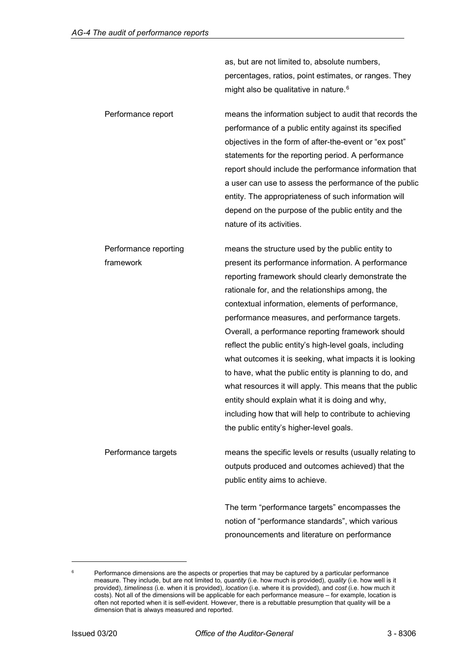as, but are not limited to, absolute numbers, percentages, ratios, point estimates, or ranges. They might also be qualitative in nature.<sup>[6](#page-6-0)</sup>

Performance report means the information subject to audit that records the performance of a public entity against its specified objectives in the form of after-the-event or "ex post" statements for the reporting period. A performance report should include the performance information that a user can use to assess the performance of the public entity. The appropriateness of such information will depend on the purpose of the public entity and the nature of its activities.

Performance reporting framework means the structure used by the public entity to present its performance information. A performance reporting framework should clearly demonstrate the rationale for, and the relationships among, the contextual information, elements of performance, performance measures, and performance targets. Overall, a performance reporting framework should reflect the public entity's high-level goals, including what outcomes it is seeking, what impacts it is looking to have, what the public entity is planning to do, and what resources it will apply. This means that the public entity should explain what it is doing and why, including how that will help to contribute to achieving the public entity's higher-level goals.

Performance targets means the specific levels or results (usually relating to outputs produced and outcomes achieved) that the public entity aims to achieve.

> The term "performance targets" encompasses the notion of "performance standards", which various pronouncements and literature on performance

j

<span id="page-6-0"></span>Performance dimensions are the aspects or properties that may be captured by a particular performance measure. They include, but are not limited to, *quantity* (i.e. how much is provided), *quality* (i.e. how well is it provided), *timeliness* (i.e. when it is provided), *location* (i.e. where it is provided), and *cost* (i.e. how much it costs). Not all of the dimensions will be applicable for each performance measure – for example, location is often not reported when it is self-evident. However, there is a rebuttable presumption that quality will be a dimension that is always measured and reported.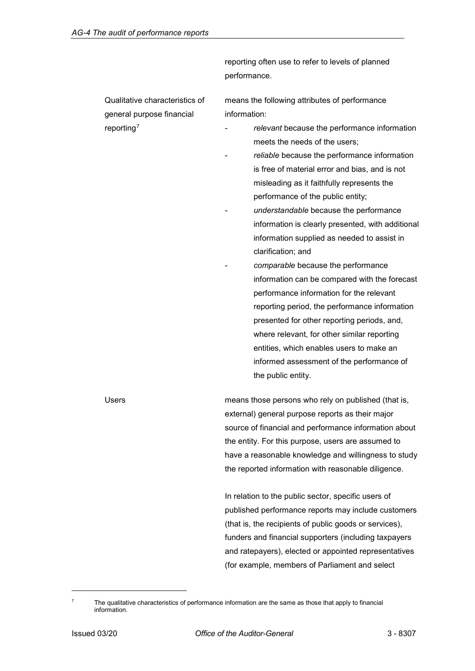|                                | reporting often use to refer to levels of planned     |  |
|--------------------------------|-------------------------------------------------------|--|
|                                | performance.                                          |  |
| Qualitative characteristics of | means the following attributes of performance         |  |
| general purpose financial      | information:                                          |  |
| reporting <sup>7</sup>         | relevant because the performance information          |  |
|                                | meets the needs of the users;                         |  |
|                                | reliable because the performance information          |  |
|                                | is free of material error and bias, and is not        |  |
|                                | misleading as it faithfully represents the            |  |
|                                | performance of the public entity;                     |  |
|                                | understandable because the performance                |  |
|                                | information is clearly presented, with additional     |  |
|                                | information supplied as needed to assist in           |  |
|                                | clarification; and                                    |  |
|                                | comparable because the performance                    |  |
|                                | information can be compared with the forecast         |  |
|                                | performance information for the relevant              |  |
|                                | reporting period, the performance information         |  |
|                                | presented for other reporting periods, and,           |  |
|                                | where relevant, for other similar reporting           |  |
|                                | entities, which enables users to make an              |  |
|                                | informed assessment of the performance of             |  |
|                                | the public entity.                                    |  |
| Users                          | means those persons who rely on published (that is,   |  |
|                                | external) general purpose reports as their major      |  |
|                                | source of financial and performance information about |  |
|                                | the entity. For this purpose, users are assumed to    |  |
|                                | have a reasonable knowledge and willingness to study  |  |
|                                | the reported information with reasonable diligence.   |  |
|                                | In relation to the public sector, specific users of   |  |
|                                | published performance reports may include customers   |  |

<span id="page-7-0"></span> $7$  The qualitative characteristics of performance information are the same as those that apply to financial information.

j

(that is, the recipients of public goods or services), funders and financial supporters (including taxpayers and ratepayers), elected or appointed representatives

(for example, members of Parliament and select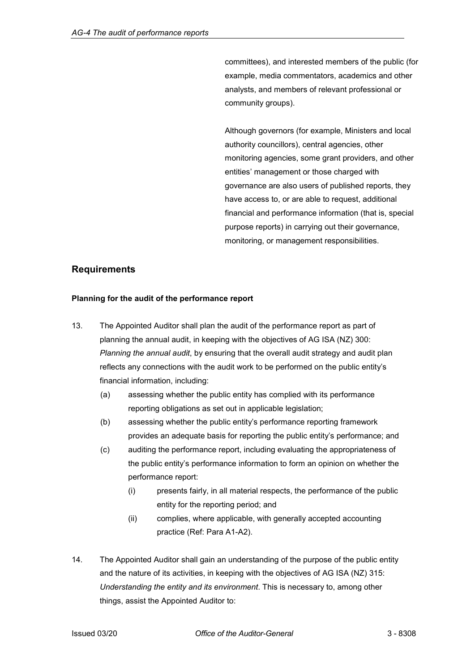committees), and interested members of the public (for example, media commentators, academics and other analysts, and members of relevant professional or community groups).

Although governors (for example, Ministers and local authority councillors), central agencies, other monitoring agencies, some grant providers, and other entities' management or those charged with governance are also users of published reports, they have access to, or are able to request, additional financial and performance information (that is, special purpose reports) in carrying out their governance, monitoring, or management responsibilities.

# <span id="page-8-0"></span>**Requirements**

### <span id="page-8-1"></span>**Planning for the audit of the performance report**

- 13. The Appointed Auditor shall plan the audit of the performance report as part of planning the annual audit, in keeping with the objectives of AG ISA (NZ) 300: *Planning the annual audit*, by ensuring that the overall audit strategy and audit plan reflects any connections with the audit work to be performed on the public entity's financial information, including:
	- (a) assessing whether the public entity has complied with its performance reporting obligations as set out in applicable legislation;
	- (b) assessing whether the public entity's performance reporting framework provides an adequate basis for reporting the public entity's performance; and
	- (c) auditing the performance report, including evaluating the appropriateness of the public entity's performance information to form an opinion on whether the performance report:
		- (i) presents fairly, in all material respects, the performance of the public entity for the reporting period; and
		- (ii) complies, where applicable, with generally accepted accounting practice (Ref: Para A1-A2).
- 14. The Appointed Auditor shall gain an understanding of the purpose of the public entity and the nature of its activities, in keeping with the objectives of AG ISA (NZ) 315: *Understanding the entity and its environment*. This is necessary to, among other things, assist the Appointed Auditor to: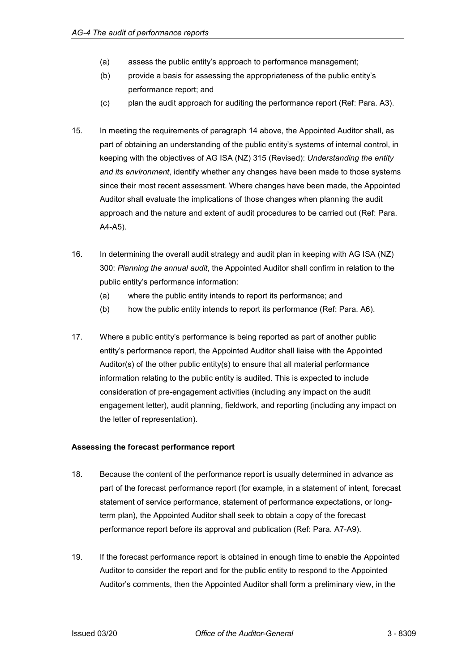- (a) assess the public entity's approach to performance management;
- (b) provide a basis for assessing the appropriateness of the public entity's performance report; and
- (c) plan the audit approach for auditing the performance report (Ref: Para. A3).
- 15. In meeting the requirements of paragraph 14 above, the Appointed Auditor shall, as part of obtaining an understanding of the public entity's systems of internal control, in keeping with the objectives of AG ISA (NZ) 315 (Revised): *Understanding the entity and its environment*, identify whether any changes have been made to those systems since their most recent assessment. Where changes have been made, the Appointed Auditor shall evaluate the implications of those changes when planning the audit approach and the nature and extent of audit procedures to be carried out (Ref: Para. A4-A5).
- 16. In determining the overall audit strategy and audit plan in keeping with AG ISA (NZ) 300: *Planning the annual audit*, the Appointed Auditor shall confirm in relation to the public entity's performance information:
	- (a) where the public entity intends to report its performance; and
	- (b) how the public entity intends to report its performance (Ref: Para. A6).
- 17. Where a public entity's performance is being reported as part of another public entity's performance report, the Appointed Auditor shall liaise with the Appointed Auditor(s) of the other public entity(s) to ensure that all material performance information relating to the public entity is audited. This is expected to include consideration of pre-engagement activities (including any impact on the audit engagement letter), audit planning, fieldwork, and reporting (including any impact on the letter of representation).

# <span id="page-9-0"></span>**Assessing the forecast performance report**

- 18. Because the content of the performance report is usually determined in advance as part of the forecast performance report (for example, in a statement of intent, forecast statement of service performance, statement of performance expectations, or longterm plan), the Appointed Auditor shall seek to obtain a copy of the forecast performance report before its approval and publication (Ref: Para. A7-A9).
- 19. If the forecast performance report is obtained in enough time to enable the Appointed Auditor to consider the report and for the public entity to respond to the Appointed Auditor's comments, then the Appointed Auditor shall form a preliminary view, in the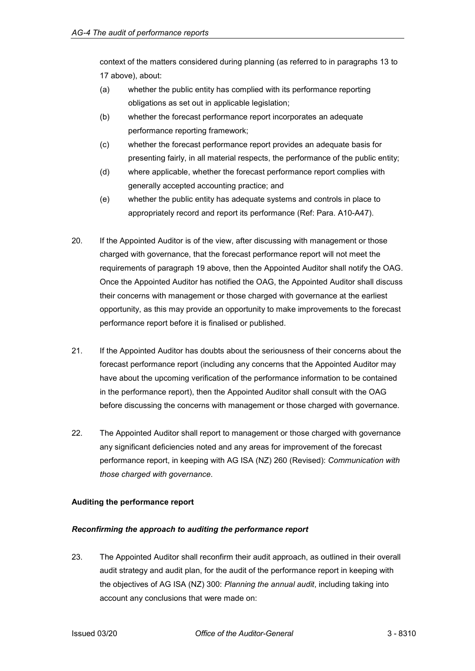context of the matters considered during planning (as referred to in paragraphs 13 to 17 above), about:

- (a) whether the public entity has complied with its performance reporting obligations as set out in applicable legislation;
- (b) whether the forecast performance report incorporates an adequate performance reporting framework;
- (c) whether the forecast performance report provides an adequate basis for presenting fairly, in all material respects, the performance of the public entity;
- (d) where applicable, whether the forecast performance report complies with generally accepted accounting practice; and
- (e) whether the public entity has adequate systems and controls in place to appropriately record and report its performance (Ref: Para. A10-A47).
- 20. If the Appointed Auditor is of the view, after discussing with management or those charged with governance, that the forecast performance report will not meet the requirements of paragraph 19 above, then the Appointed Auditor shall notify the OAG. Once the Appointed Auditor has notified the OAG, the Appointed Auditor shall discuss their concerns with management or those charged with governance at the earliest opportunity, as this may provide an opportunity to make improvements to the forecast performance report before it is finalised or published.
- 21. If the Appointed Auditor has doubts about the seriousness of their concerns about the forecast performance report (including any concerns that the Appointed Auditor may have about the upcoming verification of the performance information to be contained in the performance report), then the Appointed Auditor shall consult with the OAG before discussing the concerns with management or those charged with governance.
- 22. The Appointed Auditor shall report to management or those charged with governance any significant deficiencies noted and any areas for improvement of the forecast performance report, in keeping with AG ISA (NZ) 260 (Revised): *Communication with those charged with governance*.

# <span id="page-10-0"></span>**Auditing the performance report**

# *Reconfirming the approach to auditing the performance report*

23. The Appointed Auditor shall reconfirm their audit approach, as outlined in their overall audit strategy and audit plan, for the audit of the performance report in keeping with the objectives of AG ISA (NZ) 300: *Planning the annual audit*, including taking into account any conclusions that were made on: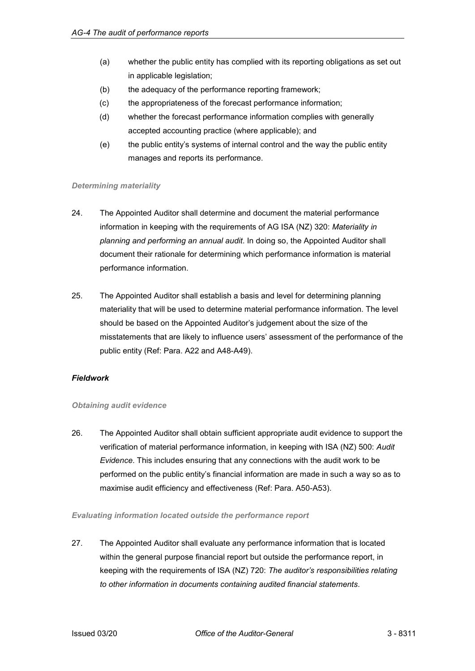- (a) whether the public entity has complied with its reporting obligations as set out in applicable legislation;
- (b) the adequacy of the performance reporting framework;
- (c) the appropriateness of the forecast performance information;
- (d) whether the forecast performance information complies with generally accepted accounting practice (where applicable); and
- (e) the public entity's systems of internal control and the way the public entity manages and reports its performance.

### *Determining materiality*

- 24. The Appointed Auditor shall determine and document the material performance information in keeping with the requirements of AG ISA (NZ) 320: *Materiality in planning and performing an annual audit*. In doing so, the Appointed Auditor shall document their rationale for determining which performance information is material performance information.
- 25. The Appointed Auditor shall establish a basis and level for determining planning materiality that will be used to determine material performance information. The level should be based on the Appointed Auditor's judgement about the size of the misstatements that are likely to influence users' assessment of the performance of the public entity (Ref: Para. A22 and A48-A49).

# *Fieldwork*

### *Obtaining audit evidence*

26. The Appointed Auditor shall obtain sufficient appropriate audit evidence to support the verification of material performance information, in keeping with ISA (NZ) 500: *Audit Evidence*. This includes ensuring that any connections with the audit work to be performed on the public entity's financial information are made in such a way so as to maximise audit efficiency and effectiveness (Ref: Para. A50-A53).

### *Evaluating information located outside the performance report*

27. The Appointed Auditor shall evaluate any performance information that is located within the general purpose financial report but outside the performance report, in keeping with the requirements of ISA (NZ) 720: *The auditor's responsibilities relating to other information in documents containing audited financial statements*.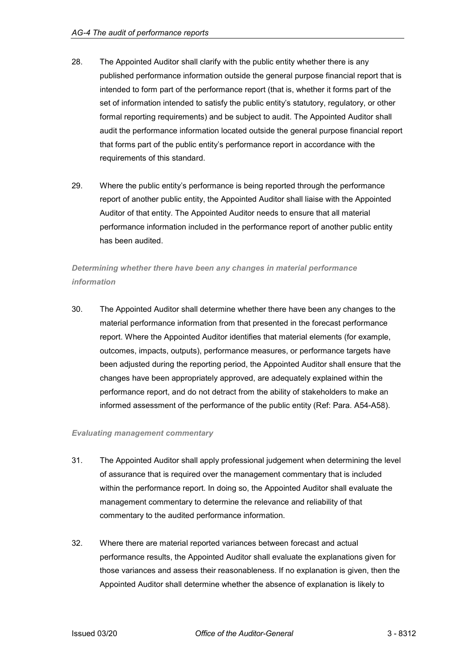- 28. The Appointed Auditor shall clarify with the public entity whether there is any published performance information outside the general purpose financial report that is intended to form part of the performance report (that is, whether it forms part of the set of information intended to satisfy the public entity's statutory, regulatory, or other formal reporting requirements) and be subject to audit. The Appointed Auditor shall audit the performance information located outside the general purpose financial report that forms part of the public entity's performance report in accordance with the requirements of this standard.
- 29. Where the public entity's performance is being reported through the performance report of another public entity, the Appointed Auditor shall liaise with the Appointed Auditor of that entity. The Appointed Auditor needs to ensure that all material performance information included in the performance report of another public entity has been audited.

# *Determining whether there have been any changes in material performance information*

30. The Appointed Auditor shall determine whether there have been any changes to the material performance information from that presented in the forecast performance report. Where the Appointed Auditor identifies that material elements (for example, outcomes, impacts, outputs), performance measures, or performance targets have been adjusted during the reporting period, the Appointed Auditor shall ensure that the changes have been appropriately approved, are adequately explained within the performance report, and do not detract from the ability of stakeholders to make an informed assessment of the performance of the public entity (Ref: Para. A54-A58).

### *Evaluating management commentary*

- 31. The Appointed Auditor shall apply professional judgement when determining the level of assurance that is required over the management commentary that is included within the performance report. In doing so, the Appointed Auditor shall evaluate the management commentary to determine the relevance and reliability of that commentary to the audited performance information.
- 32. Where there are material reported variances between forecast and actual performance results, the Appointed Auditor shall evaluate the explanations given for those variances and assess their reasonableness. If no explanation is given, then the Appointed Auditor shall determine whether the absence of explanation is likely to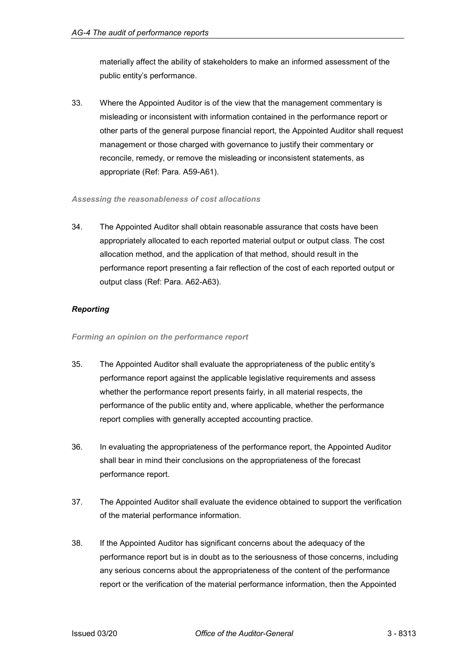materially affect the ability of stakeholders to make an informed assessment of the public entity's performance.

33. Where the Appointed Auditor is of the view that the management commentary is misleading or inconsistent with information contained in the performance report or other parts of the general purpose financial report, the Appointed Auditor shall request management or those charged with governance to justify their commentary or reconcile, remedy, or remove the misleading or inconsistent statements, as appropriate (Ref: Para. A59-A61).

# *Assessing the reasonableness of cost allocations*

34. The Appointed Auditor shall obtain reasonable assurance that costs have been appropriately allocated to each reported material output or output class. The cost allocation method, and the application of that method, should result in the performance report presenting a fair reflection of the cost of each reported output or output class (Ref: Para. A62-A63).

# *Reporting*

*Forming an opinion on the performance report*

- 35. The Appointed Auditor shall evaluate the appropriateness of the public entity's performance report against the applicable legislative requirements and assess whether the performance report presents fairly, in all material respects, the performance of the public entity and, where applicable, whether the performance report complies with generally accepted accounting practice.
- 36. In evaluating the appropriateness of the performance report, the Appointed Auditor shall bear in mind their conclusions on the appropriateness of the forecast performance report.
- 37. The Appointed Auditor shall evaluate the evidence obtained to support the verification of the material performance information.
- 38. If the Appointed Auditor has significant concerns about the adequacy of the performance report but is in doubt as to the seriousness of those concerns, including any serious concerns about the appropriateness of the content of the performance report or the verification of the material performance information, then the Appointed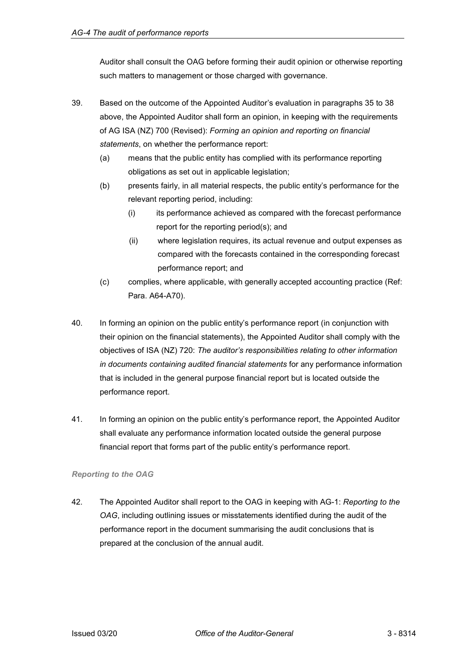Auditor shall consult the OAG before forming their audit opinion or otherwise reporting such matters to management or those charged with governance.

- 39. Based on the outcome of the Appointed Auditor's evaluation in paragraphs 35 to 38 above, the Appointed Auditor shall form an opinion, in keeping with the requirements of AG ISA (NZ) 700 (Revised): *Forming an opinion and reporting on financial statements*, on whether the performance report:
	- (a) means that the public entity has complied with its performance reporting obligations as set out in applicable legislation;
	- (b) presents fairly, in all material respects, the public entity's performance for the relevant reporting period, including:
		- (i) its performance achieved as compared with the forecast performance report for the reporting period(s); and
		- (ii) where legislation requires, its actual revenue and output expenses as compared with the forecasts contained in the corresponding forecast performance report; and
	- (c) complies, where applicable, with generally accepted accounting practice (Ref: Para. A64-A70).
- 40. In forming an opinion on the public entity's performance report (in conjunction with their opinion on the financial statements), the Appointed Auditor shall comply with the objectives of ISA (NZ) 720: *The auditor's responsibilities relating to other information in documents containing audited financial statements* for any performance information that is included in the general purpose financial report but is located outside the performance report.
- 41. In forming an opinion on the public entity's performance report, the Appointed Auditor shall evaluate any performance information located outside the general purpose financial report that forms part of the public entity's performance report.

# *Reporting to the OAG*

42. The Appointed Auditor shall report to the OAG in keeping with AG-1: *Reporting to the OAG*, including outlining issues or misstatements identified during the audit of the performance report in the document summarising the audit conclusions that is prepared at the conclusion of the annual audit.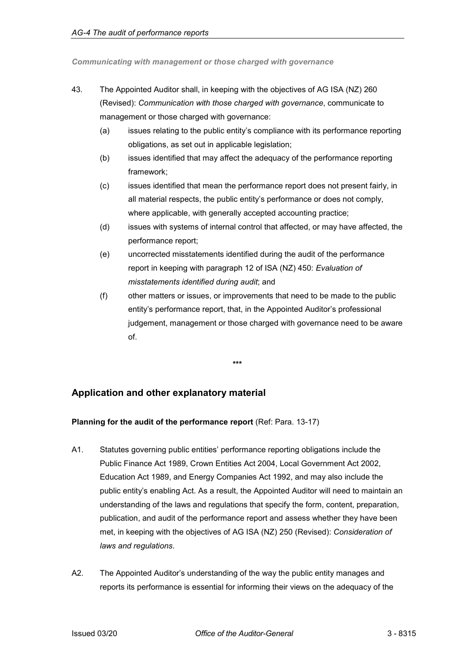*Communicating with management or those charged with governance*

- 43. The Appointed Auditor shall, in keeping with the objectives of AG ISA (NZ) 260 (Revised): *Communication with those charged with governance*, communicate to management or those charged with governance:
	- (a) issues relating to the public entity's compliance with its performance reporting obligations, as set out in applicable legislation;
	- (b) issues identified that may affect the adequacy of the performance reporting framework;
	- (c) issues identified that mean the performance report does not present fairly, in all material respects, the public entity's performance or does not comply, where applicable, with generally accepted accounting practice;
	- (d) issues with systems of internal control that affected, or may have affected, the performance report;
	- (e) uncorrected misstatements identified during the audit of the performance report in keeping with paragraph 12 of ISA (NZ) 450: *Evaluation of misstatements identified during audit*; and
	- (f) other matters or issues, or improvements that need to be made to the public entity's performance report, that, in the Appointed Auditor's professional judgement, management or those charged with governance need to be aware of.

**\*\*\***

# <span id="page-15-0"></span>**Application and other explanatory material**

# <span id="page-15-1"></span>**Planning for the audit of the performance report** (Ref: Para. 13-17)

- A1. Statutes governing public entities' performance reporting obligations include the Public Finance Act 1989, Crown Entities Act 2004, Local Government Act 2002, Education Act 1989, and Energy Companies Act 1992, and may also include the public entity's enabling Act. As a result, the Appointed Auditor will need to maintain an understanding of the laws and regulations that specify the form, content, preparation, publication, and audit of the performance report and assess whether they have been met, in keeping with the objectives of AG ISA (NZ) 250 (Revised): *Consideration of laws and regulations*.
- A2. The Appointed Auditor's understanding of the way the public entity manages and reports its performance is essential for informing their views on the adequacy of the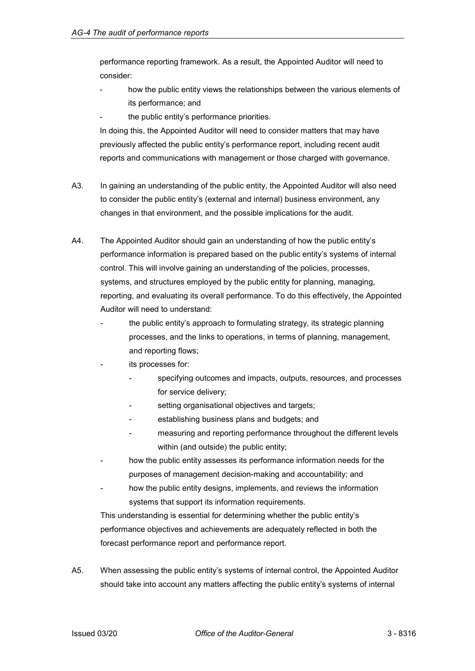performance reporting framework. As a result, the Appointed Auditor will need to consider:

- how the public entity views the relationships between the various elements of its performance; and
- the public entity's performance priorities.

In doing this, the Appointed Auditor will need to consider matters that may have previously affected the public entity's performance report, including recent audit reports and communications with management or those charged with governance.

- A3. In gaining an understanding of the public entity, the Appointed Auditor will also need to consider the public entity's (external and internal) business environment, any changes in that environment, and the possible implications for the audit.
- A4. The Appointed Auditor should gain an understanding of how the public entity's performance information is prepared based on the public entity's systems of internal control. This will involve gaining an understanding of the policies, processes, systems, and structures employed by the public entity for planning, managing, reporting, and evaluating its overall performance. To do this effectively, the Appointed Auditor will need to understand:
	- the public entity's approach to formulating strategy, its strategic planning processes, and the links to operations, in terms of planning, management, and reporting flows;
	- its processes for:
		- specifying outcomes and impacts, outputs, resources, and processes for service delivery;
		- setting organisational objectives and targets;
		- establishing business plans and budgets; and
		- measuring and reporting performance throughout the different levels within (and outside) the public entity;
	- how the public entity assesses its performance information needs for the purposes of management decision-making and accountability; and
	- how the public entity designs, implements, and reviews the information systems that support its information requirements.

This understanding is essential for determining whether the public entity's performance objectives and achievements are adequately reflected in both the forecast performance report and performance report.

A5. When assessing the public entity's systems of internal control, the Appointed Auditor should take into account any matters affecting the public entity's systems of internal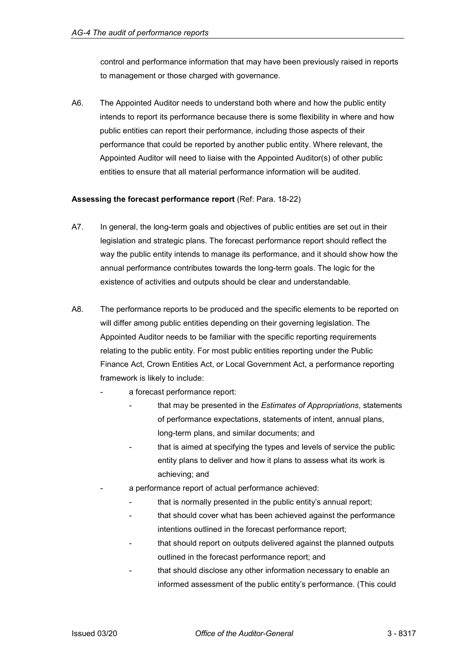control and performance information that may have been previously raised in reports to management or those charged with governance.

A6. The Appointed Auditor needs to understand both where and how the public entity intends to report its performance because there is some flexibility in where and how public entities can report their performance, including those aspects of their performance that could be reported by another public entity. Where relevant, the Appointed Auditor will need to liaise with the Appointed Auditor(s) of other public entities to ensure that all material performance information will be audited.

### <span id="page-17-0"></span>**Assessing the forecast performance report** (Ref: Para. 18-22)

- A7. In general, the long-term goals and objectives of public entities are set out in their legislation and strategic plans. The forecast performance report should reflect the way the public entity intends to manage its performance, and it should show how the annual performance contributes towards the long-term goals. The logic for the existence of activities and outputs should be clear and understandable.
- A8. The performance reports to be produced and the specific elements to be reported on will differ among public entities depending on their governing legislation. The Appointed Auditor needs to be familiar with the specific reporting requirements relating to the public entity. For most public entities reporting under the Public Finance Act, Crown Entities Act, or Local Government Act, a performance reporting framework is likely to include:
	- a forecast performance report:
		- that may be presented in the *Estimates of Appropriations*, statements of performance expectations, statements of intent, annual plans, long-term plans, and similar documents; and
		- that is aimed at specifying the types and levels of service the public entity plans to deliver and how it plans to assess what its work is achieving; and
	- a performance report of actual performance achieved:
		- that is normally presented in the public entity's annual report;
		- that should cover what has been achieved against the performance intentions outlined in the forecast performance report;
		- that should report on outputs delivered against the planned outputs outlined in the forecast performance report; and
		- that should disclose any other information necessary to enable an informed assessment of the public entity's performance. (This could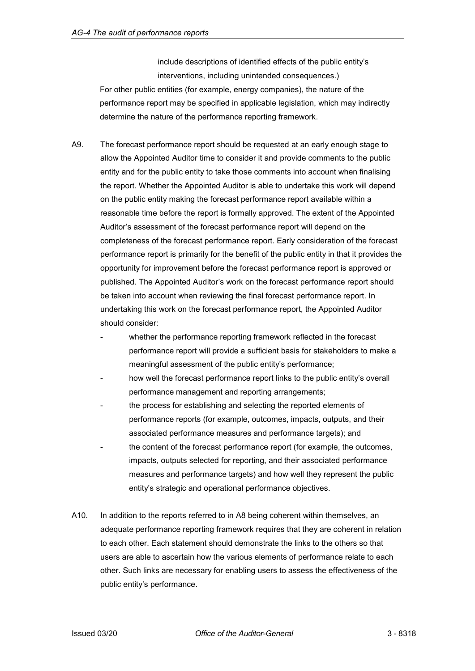include descriptions of identified effects of the public entity's interventions, including unintended consequences.) For other public entities (for example, energy companies), the nature of the performance report may be specified in applicable legislation, which may indirectly determine the nature of the performance reporting framework.

- A9. The forecast performance report should be requested at an early enough stage to allow the Appointed Auditor time to consider it and provide comments to the public entity and for the public entity to take those comments into account when finalising the report. Whether the Appointed Auditor is able to undertake this work will depend on the public entity making the forecast performance report available within a reasonable time before the report is formally approved. The extent of the Appointed Auditor's assessment of the forecast performance report will depend on the completeness of the forecast performance report. Early consideration of the forecast performance report is primarily for the benefit of the public entity in that it provides the opportunity for improvement before the forecast performance report is approved or published. The Appointed Auditor's work on the forecast performance report should be taken into account when reviewing the final forecast performance report. In undertaking this work on the forecast performance report, the Appointed Auditor should consider:
	- whether the performance reporting framework reflected in the forecast performance report will provide a sufficient basis for stakeholders to make a meaningful assessment of the public entity's performance;
	- how well the forecast performance report links to the public entity's overall performance management and reporting arrangements;
	- the process for establishing and selecting the reported elements of performance reports (for example, outcomes, impacts, outputs, and their associated performance measures and performance targets); and
	- the content of the forecast performance report (for example, the outcomes, impacts, outputs selected for reporting, and their associated performance measures and performance targets) and how well they represent the public entity's strategic and operational performance objectives.
- A10. In addition to the reports referred to in A8 being coherent within themselves, an adequate performance reporting framework requires that they are coherent in relation to each other. Each statement should demonstrate the links to the others so that users are able to ascertain how the various elements of performance relate to each other. Such links are necessary for enabling users to assess the effectiveness of the public entity's performance.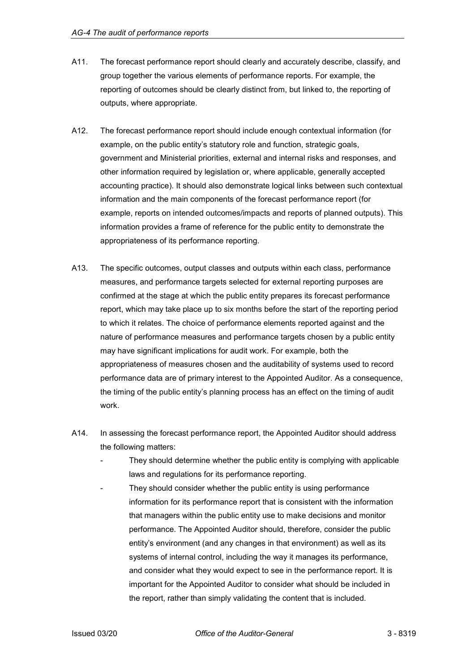- A11. The forecast performance report should clearly and accurately describe, classify, and group together the various elements of performance reports. For example, the reporting of outcomes should be clearly distinct from, but linked to, the reporting of outputs, where appropriate.
- A12. The forecast performance report should include enough contextual information (for example, on the public entity's statutory role and function, strategic goals, government and Ministerial priorities, external and internal risks and responses, and other information required by legislation or, where applicable, generally accepted accounting practice). It should also demonstrate logical links between such contextual information and the main components of the forecast performance report (for example, reports on intended outcomes/impacts and reports of planned outputs). This information provides a frame of reference for the public entity to demonstrate the appropriateness of its performance reporting.
- A13. The specific outcomes, output classes and outputs within each class, performance measures, and performance targets selected for external reporting purposes are confirmed at the stage at which the public entity prepares its forecast performance report, which may take place up to six months before the start of the reporting period to which it relates. The choice of performance elements reported against and the nature of performance measures and performance targets chosen by a public entity may have significant implications for audit work. For example, both the appropriateness of measures chosen and the auditability of systems used to record performance data are of primary interest to the Appointed Auditor. As a consequence, the timing of the public entity's planning process has an effect on the timing of audit work.
- A14. In assessing the forecast performance report, the Appointed Auditor should address the following matters:
	- They should determine whether the public entity is complying with applicable laws and regulations for its performance reporting.
	- They should consider whether the public entity is using performance information for its performance report that is consistent with the information that managers within the public entity use to make decisions and monitor performance. The Appointed Auditor should, therefore, consider the public entity's environment (and any changes in that environment) as well as its systems of internal control, including the way it manages its performance, and consider what they would expect to see in the performance report. It is important for the Appointed Auditor to consider what should be included in the report, rather than simply validating the content that is included.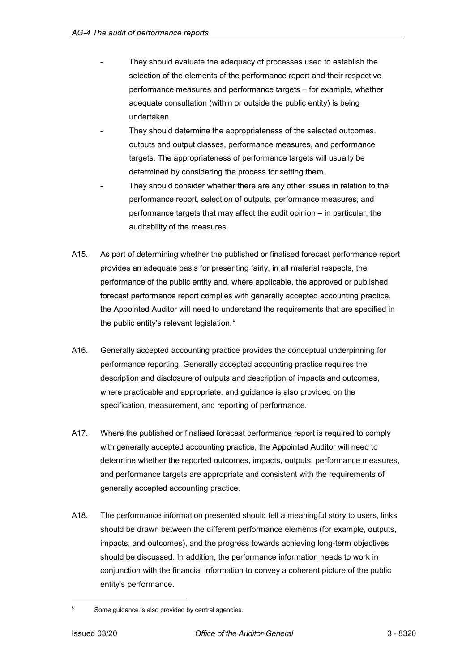- They should evaluate the adequacy of processes used to establish the selection of the elements of the performance report and their respective performance measures and performance targets – for example, whether adequate consultation (within or outside the public entity) is being undertaken.
- They should determine the appropriateness of the selected outcomes, outputs and output classes, performance measures, and performance targets. The appropriateness of performance targets will usually be determined by considering the process for setting them.
- They should consider whether there are any other issues in relation to the performance report, selection of outputs, performance measures, and performance targets that may affect the audit opinion – in particular, the auditability of the measures.
- A15. As part of determining whether the published or finalised forecast performance report provides an adequate basis for presenting fairly, in all material respects, the performance of the public entity and, where applicable, the approved or published forecast performance report complies with generally accepted accounting practice, the Appointed Auditor will need to understand the requirements that are specified in the public entity's relevant legislation.[8](#page-20-0)
- A16. Generally accepted accounting practice provides the conceptual underpinning for performance reporting. Generally accepted accounting practice requires the description and disclosure of outputs and description of impacts and outcomes, where practicable and appropriate, and guidance is also provided on the specification, measurement, and reporting of performance.
- A17. Where the published or finalised forecast performance report is required to comply with generally accepted accounting practice, the Appointed Auditor will need to determine whether the reported outcomes, impacts, outputs, performance measures, and performance targets are appropriate and consistent with the requirements of generally accepted accounting practice.
- A18. The performance information presented should tell a meaningful story to users, links should be drawn between the different performance elements (for example, outputs, impacts, and outcomes), and the progress towards achieving long-term objectives should be discussed. In addition, the performance information needs to work in conjunction with the financial information to convey a coherent picture of the public entity's performance.

-

<span id="page-20-0"></span>Some guidance is also provided by central agencies.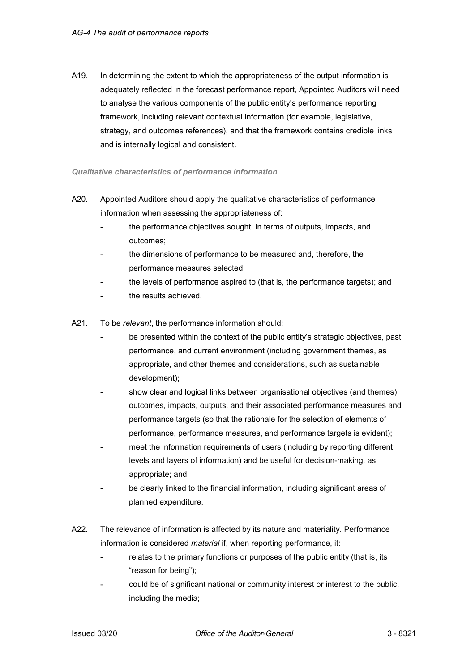A19. In determining the extent to which the appropriateness of the output information is adequately reflected in the forecast performance report, Appointed Auditors will need to analyse the various components of the public entity's performance reporting framework, including relevant contextual information (for example, legislative, strategy, and outcomes references), and that the framework contains credible links and is internally logical and consistent.

# *Qualitative characteristics of performance information*

- A20. Appointed Auditors should apply the qualitative characteristics of performance information when assessing the appropriateness of:
	- the performance objectives sought, in terms of outputs, impacts, and outcomes;
	- the dimensions of performance to be measured and, therefore, the performance measures selected;
	- the levels of performance aspired to (that is, the performance targets); and
	- the results achieved.
- A21. To be *relevant*, the performance information should:
	- be presented within the context of the public entity's strategic objectives, past performance, and current environment (including government themes, as appropriate, and other themes and considerations, such as sustainable development);
	- show clear and logical links between organisational objectives (and themes), outcomes, impacts, outputs, and their associated performance measures and performance targets (so that the rationale for the selection of elements of performance, performance measures, and performance targets is evident);
	- meet the information requirements of users (including by reporting different levels and layers of information) and be useful for decision-making, as appropriate; and
	- be clearly linked to the financial information, including significant areas of planned expenditure.
- A22. The relevance of information is affected by its nature and materiality. Performance information is considered *material* if, when reporting performance, it:
	- relates to the primary functions or purposes of the public entity (that is, its "reason for being");
	- could be of significant national or community interest or interest to the public, including the media;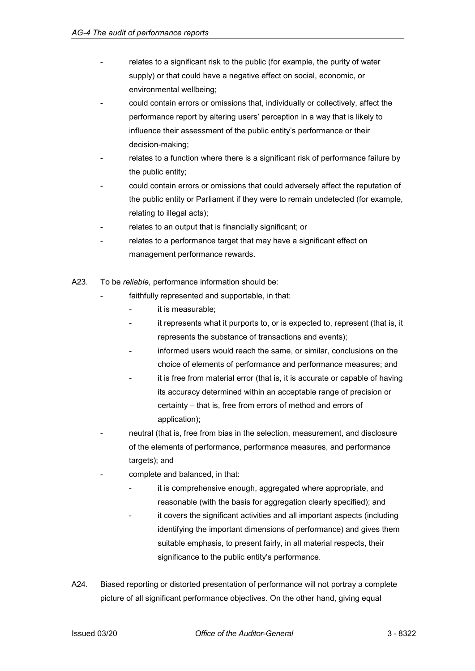- relates to a significant risk to the public (for example, the purity of water supply) or that could have a negative effect on social, economic, or environmental wellbeing;
- could contain errors or omissions that, individually or collectively, affect the performance report by altering users' perception in a way that is likely to influence their assessment of the public entity's performance or their decision-making;
- relates to a function where there is a significant risk of performance failure by the public entity;
- could contain errors or omissions that could adversely affect the reputation of the public entity or Parliament if they were to remain undetected (for example, relating to illegal acts);
- relates to an output that is financially significant; or
- relates to a performance target that may have a significant effect on management performance rewards.
- A23. To be *reliable*, performance information should be:
	- faithfully represented and supportable, in that:
		- it is measurable:
		- it represents what it purports to, or is expected to, represent (that is, it represents the substance of transactions and events);
		- informed users would reach the same, or similar, conclusions on the choice of elements of performance and performance measures; and
		- it is free from material error (that is, it is accurate or capable of having its accuracy determined within an acceptable range of precision or certainty – that is, free from errors of method and errors of application);
	- neutral (that is, free from bias in the selection, measurement, and disclosure of the elements of performance, performance measures, and performance targets); and
	- complete and balanced, in that:
		- it is comprehensive enough, aggregated where appropriate, and reasonable (with the basis for aggregation clearly specified); and
		- it covers the significant activities and all important aspects (including identifying the important dimensions of performance) and gives them suitable emphasis, to present fairly, in all material respects, their significance to the public entity's performance.
- A24. Biased reporting or distorted presentation of performance will not portray a complete picture of all significant performance objectives. On the other hand, giving equal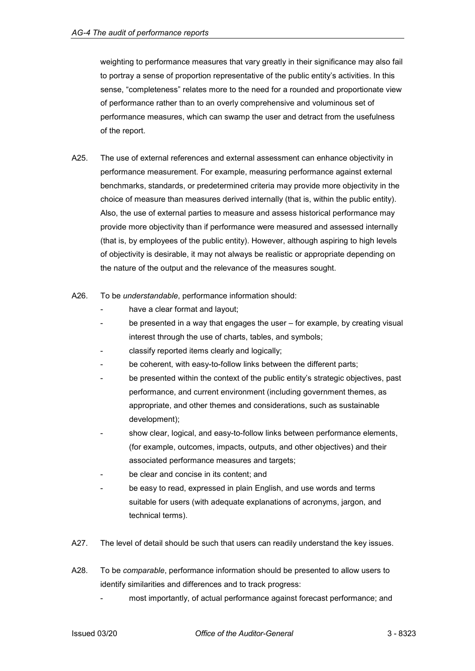weighting to performance measures that vary greatly in their significance may also fail to portray a sense of proportion representative of the public entity's activities. In this sense, "completeness" relates more to the need for a rounded and proportionate view of performance rather than to an overly comprehensive and voluminous set of performance measures, which can swamp the user and detract from the usefulness of the report.

- A25. The use of external references and external assessment can enhance objectivity in performance measurement. For example, measuring performance against external benchmarks, standards, or predetermined criteria may provide more objectivity in the choice of measure than measures derived internally (that is, within the public entity). Also, the use of external parties to measure and assess historical performance may provide more objectivity than if performance were measured and assessed internally (that is, by employees of the public entity). However, although aspiring to high levels of objectivity is desirable, it may not always be realistic or appropriate depending on the nature of the output and the relevance of the measures sought.
- A26. To be *understandable*, performance information should:
	- have a clear format and layout;
	- be presented in a way that engages the user for example, by creating visual interest through the use of charts, tables, and symbols;
	- classify reported items clearly and logically;
	- be coherent, with easy-to-follow links between the different parts;
	- be presented within the context of the public entity's strategic objectives, past performance, and current environment (including government themes, as appropriate, and other themes and considerations, such as sustainable development);
	- show clear, logical, and easy-to-follow links between performance elements, (for example, outcomes, impacts, outputs, and other objectives) and their associated performance measures and targets;
	- be clear and concise in its content; and
	- be easy to read, expressed in plain English, and use words and terms suitable for users (with adequate explanations of acronyms, jargon, and technical terms).
- A27. The level of detail should be such that users can readily understand the key issues.
- A28. To be *comparable*, performance information should be presented to allow users to identify similarities and differences and to track progress:
	- most importantly, of actual performance against forecast performance; and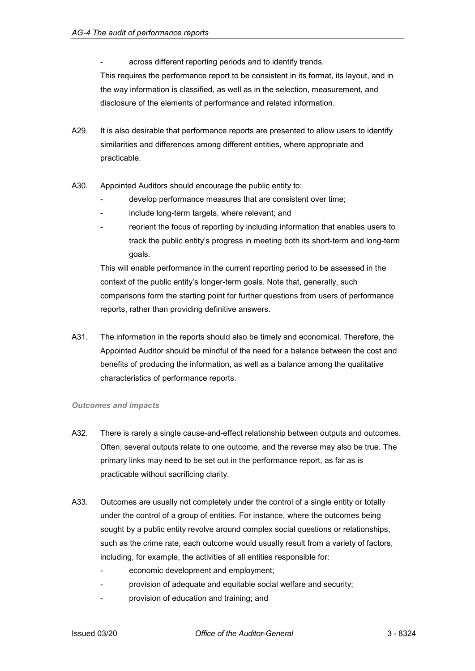across different reporting periods and to identify trends.

This requires the performance report to be consistent in its format, its layout, and in the way information is classified, as well as in the selection, measurement, and disclosure of the elements of performance and related information.

- A29. It is also desirable that performance reports are presented to allow users to identify similarities and differences among different entities, where appropriate and practicable.
- A30. Appointed Auditors should encourage the public entity to:
	- develop performance measures that are consistent over time;
	- include long-term targets, where relevant; and
	- reorient the focus of reporting by including information that enables users to track the public entity's progress in meeting both its short-term and long-term goals.

This will enable performance in the current reporting period to be assessed in the context of the public entity's longer-term goals. Note that, generally, such comparisons form the starting point for further questions from users of performance reports, rather than providing definitive answers.

A31. The information in the reports should also be timely and economical. Therefore, the Appointed Auditor should be mindful of the need for a balance between the cost and benefits of producing the information, as well as a balance among the qualitative characteristics of performance reports.

### *Outcomes and impacts*

- A32. There is rarely a single cause-and-effect relationship between outputs and outcomes. Often, several outputs relate to one outcome, and the reverse may also be true. The primary links may need to be set out in the performance report, as far as is practicable without sacrificing clarity.
- A33. Outcomes are usually not completely under the control of a single entity or totally under the control of a group of entities. For instance, where the outcomes being sought by a public entity revolve around complex social questions or relationships, such as the crime rate, each outcome would usually result from a variety of factors, including, for example, the activities of all entities responsible for:
	- economic development and employment;
	- provision of adequate and equitable social welfare and security;
	- provision of education and training; and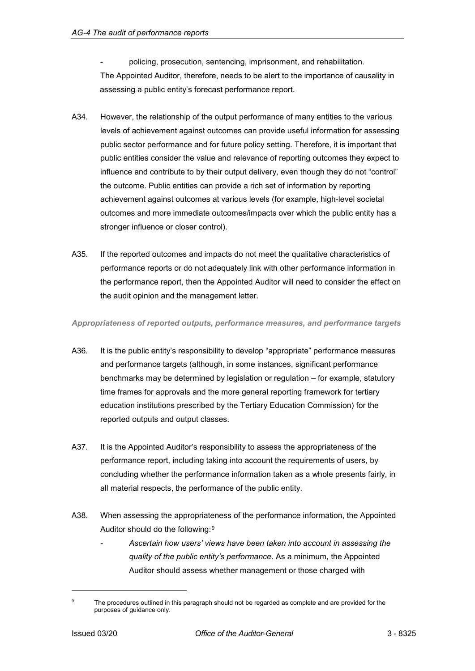policing, prosecution, sentencing, imprisonment, and rehabilitation. The Appointed Auditor, therefore, needs to be alert to the importance of causality in assessing a public entity's forecast performance report.

- A34. However, the relationship of the output performance of many entities to the various levels of achievement against outcomes can provide useful information for assessing public sector performance and for future policy setting. Therefore, it is important that public entities consider the value and relevance of reporting outcomes they expect to influence and contribute to by their output delivery, even though they do not "control" the outcome. Public entities can provide a rich set of information by reporting achievement against outcomes at various levels (for example, high-level societal outcomes and more immediate outcomes/impacts over which the public entity has a stronger influence or closer control).
- A35. If the reported outcomes and impacts do not meet the qualitative characteristics of performance reports or do not adequately link with other performance information in the performance report, then the Appointed Auditor will need to consider the effect on the audit opinion and the management letter.

### *Appropriateness of reported outputs, performance measures, and performance targets*

- A36. It is the public entity's responsibility to develop "appropriate" performance measures and performance targets (although, in some instances, significant performance benchmarks may be determined by legislation or regulation – for example, statutory time frames for approvals and the more general reporting framework for tertiary education institutions prescribed by the Tertiary Education Commission) for the reported outputs and output classes.
- A37. It is the Appointed Auditor's responsibility to assess the appropriateness of the performance report, including taking into account the requirements of users, by concluding whether the performance information taken as a whole presents fairly, in all material respects, the performance of the public entity.
- A38. When assessing the appropriateness of the performance information, the Appointed Auditor should do the following:[9](#page-25-0)
	- *Ascertain how users' views have been taken into account in assessing the quality of the public entity's performance*. As a minimum, the Appointed Auditor should assess whether management or those charged with

j

<span id="page-25-0"></span><sup>&</sup>lt;sup>9</sup> The procedures outlined in this paragraph should not be regarded as complete and are provided for the purposes of guidance only.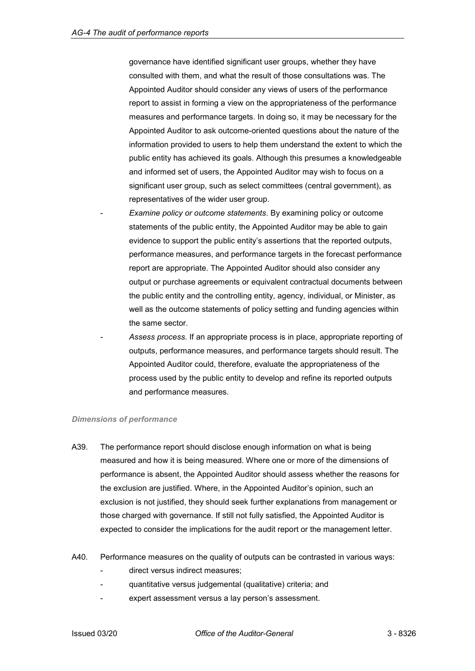governance have identified significant user groups, whether they have consulted with them, and what the result of those consultations was. The Appointed Auditor should consider any views of users of the performance report to assist in forming a view on the appropriateness of the performance measures and performance targets. In doing so, it may be necessary for the Appointed Auditor to ask outcome-oriented questions about the nature of the information provided to users to help them understand the extent to which the public entity has achieved its goals. Although this presumes a knowledgeable and informed set of users, the Appointed Auditor may wish to focus on a significant user group, such as select committees (central government), as representatives of the wider user group.

- *Examine policy or outcome statements*. By examining policy or outcome statements of the public entity, the Appointed Auditor may be able to gain evidence to support the public entity's assertions that the reported outputs, performance measures, and performance targets in the forecast performance report are appropriate. The Appointed Auditor should also consider any output or purchase agreements or equivalent contractual documents between the public entity and the controlling entity, agency, individual, or Minister, as well as the outcome statements of policy setting and funding agencies within the same sector.
- *Assess process*. If an appropriate process is in place, appropriate reporting of outputs, performance measures, and performance targets should result. The Appointed Auditor could, therefore, evaluate the appropriateness of the process used by the public entity to develop and refine its reported outputs and performance measures.

### *Dimensions of performance*

- A39. The performance report should disclose enough information on what is being measured and how it is being measured. Where one or more of the dimensions of performance is absent, the Appointed Auditor should assess whether the reasons for the exclusion are justified. Where, in the Appointed Auditor's opinion, such an exclusion is not justified, they should seek further explanations from management or those charged with governance. If still not fully satisfied, the Appointed Auditor is expected to consider the implications for the audit report or the management letter.
- A40. Performance measures on the quality of outputs can be contrasted in various ways:
	- direct versus indirect measures:
	- quantitative versus judgemental (qualitative) criteria; and
	- expert assessment versus a lay person's assessment.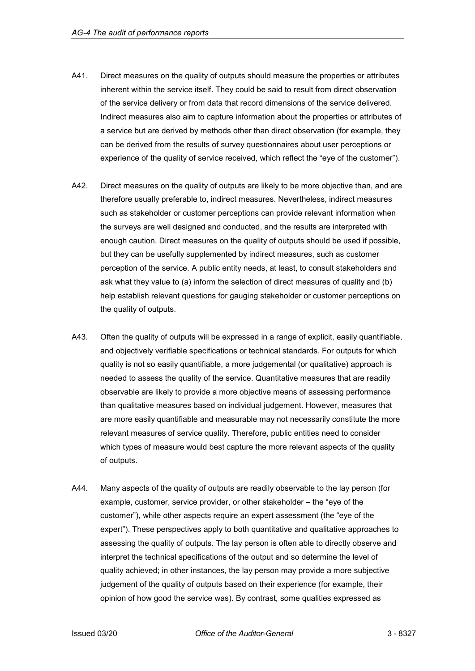- A41. Direct measures on the quality of outputs should measure the properties or attributes inherent within the service itself. They could be said to result from direct observation of the service delivery or from data that record dimensions of the service delivered. Indirect measures also aim to capture information about the properties or attributes of a service but are derived by methods other than direct observation (for example, they can be derived from the results of survey questionnaires about user perceptions or experience of the quality of service received, which reflect the "eye of the customer").
- A42. Direct measures on the quality of outputs are likely to be more objective than, and are therefore usually preferable to, indirect measures. Nevertheless, indirect measures such as stakeholder or customer perceptions can provide relevant information when the surveys are well designed and conducted, and the results are interpreted with enough caution. Direct measures on the quality of outputs should be used if possible, but they can be usefully supplemented by indirect measures, such as customer perception of the service. A public entity needs, at least, to consult stakeholders and ask what they value to (a) inform the selection of direct measures of quality and (b) help establish relevant questions for gauging stakeholder or customer perceptions on the quality of outputs.
- A43. Often the quality of outputs will be expressed in a range of explicit, easily quantifiable, and objectively verifiable specifications or technical standards. For outputs for which quality is not so easily quantifiable, a more judgemental (or qualitative) approach is needed to assess the quality of the service. Quantitative measures that are readily observable are likely to provide a more objective means of assessing performance than qualitative measures based on individual judgement. However, measures that are more easily quantifiable and measurable may not necessarily constitute the more relevant measures of service quality. Therefore, public entities need to consider which types of measure would best capture the more relevant aspects of the quality of outputs.
- A44. Many aspects of the quality of outputs are readily observable to the lay person (for example, customer, service provider, or other stakeholder – the "eye of the customer"), while other aspects require an expert assessment (the "eye of the expert"). These perspectives apply to both quantitative and qualitative approaches to assessing the quality of outputs. The lay person is often able to directly observe and interpret the technical specifications of the output and so determine the level of quality achieved; in other instances, the lay person may provide a more subjective judgement of the quality of outputs based on their experience (for example, their opinion of how good the service was). By contrast, some qualities expressed as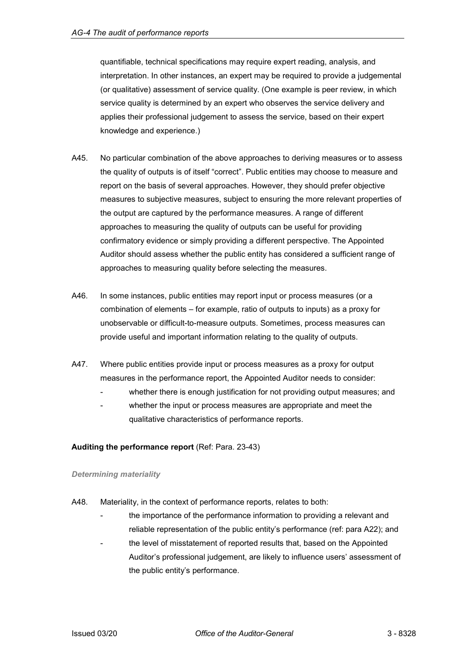quantifiable, technical specifications may require expert reading, analysis, and interpretation. In other instances, an expert may be required to provide a judgemental (or qualitative) assessment of service quality. (One example is peer review, in which service quality is determined by an expert who observes the service delivery and applies their professional judgement to assess the service, based on their expert knowledge and experience.)

- A45. No particular combination of the above approaches to deriving measures or to assess the quality of outputs is of itself "correct". Public entities may choose to measure and report on the basis of several approaches. However, they should prefer objective measures to subjective measures, subject to ensuring the more relevant properties of the output are captured by the performance measures. A range of different approaches to measuring the quality of outputs can be useful for providing confirmatory evidence or simply providing a different perspective. The Appointed Auditor should assess whether the public entity has considered a sufficient range of approaches to measuring quality before selecting the measures.
- A46. In some instances, public entities may report input or process measures (or a combination of elements – for example, ratio of outputs to inputs) as a proxy for unobservable or difficult-to-measure outputs. Sometimes, process measures can provide useful and important information relating to the quality of outputs.
- A47. Where public entities provide input or process measures as a proxy for output measures in the performance report, the Appointed Auditor needs to consider:
	- whether there is enough justification for not providing output measures; and
	- whether the input or process measures are appropriate and meet the qualitative characteristics of performance reports.

### <span id="page-28-0"></span>**Auditing the performance report** (Ref: Para. 23-43)

### *Determining materiality*

- A48. Materiality, in the context of performance reports, relates to both:
	- the importance of the performance information to providing a relevant and reliable representation of the public entity's performance (ref: para A22); and
	- the level of misstatement of reported results that, based on the Appointed Auditor's professional judgement, are likely to influence users' assessment of the public entity's performance.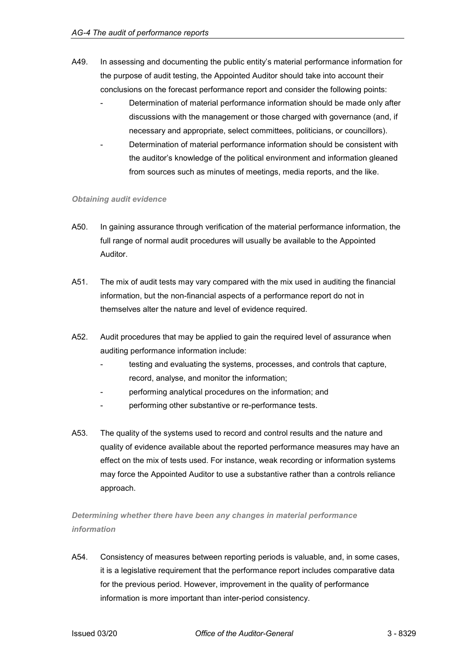- A49. In assessing and documenting the public entity's material performance information for the purpose of audit testing, the Appointed Auditor should take into account their conclusions on the forecast performance report and consider the following points:
	- Determination of material performance information should be made only after discussions with the management or those charged with governance (and, if necessary and appropriate, select committees, politicians, or councillors).
	- Determination of material performance information should be consistent with the auditor's knowledge of the political environment and information gleaned from sources such as minutes of meetings, media reports, and the like.

### *Obtaining audit evidence*

- A50. In gaining assurance through verification of the material performance information, the full range of normal audit procedures will usually be available to the Appointed Auditor.
- A51. The mix of audit tests may vary compared with the mix used in auditing the financial information, but the non-financial aspects of a performance report do not in themselves alter the nature and level of evidence required.
- A52. Audit procedures that may be applied to gain the required level of assurance when auditing performance information include:
	- testing and evaluating the systems, processes, and controls that capture, record, analyse, and monitor the information;
	- performing analytical procedures on the information; and
	- performing other substantive or re-performance tests.
- A53. The quality of the systems used to record and control results and the nature and quality of evidence available about the reported performance measures may have an effect on the mix of tests used. For instance, weak recording or information systems may force the Appointed Auditor to use a substantive rather than a controls reliance approach.

*Determining whether there have been any changes in material performance information*

A54. Consistency of measures between reporting periods is valuable, and, in some cases, it is a legislative requirement that the performance report includes comparative data for the previous period. However, improvement in the quality of performance information is more important than inter-period consistency.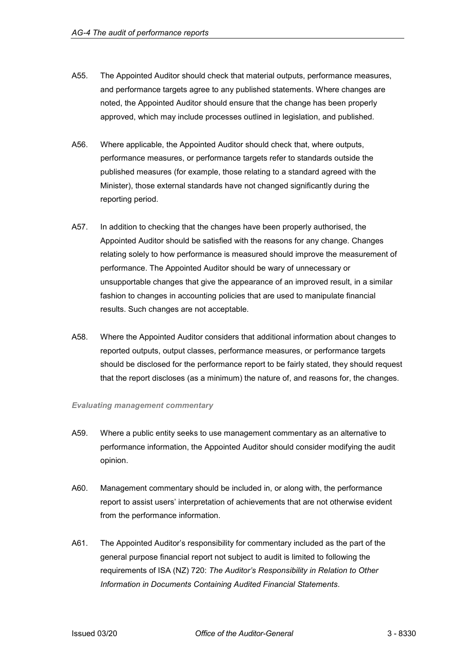- A55. The Appointed Auditor should check that material outputs, performance measures, and performance targets agree to any published statements. Where changes are noted, the Appointed Auditor should ensure that the change has been properly approved, which may include processes outlined in legislation, and published.
- A56. Where applicable, the Appointed Auditor should check that, where outputs, performance measures, or performance targets refer to standards outside the published measures (for example, those relating to a standard agreed with the Minister), those external standards have not changed significantly during the reporting period.
- A57. In addition to checking that the changes have been properly authorised, the Appointed Auditor should be satisfied with the reasons for any change. Changes relating solely to how performance is measured should improve the measurement of performance. The Appointed Auditor should be wary of unnecessary or unsupportable changes that give the appearance of an improved result, in a similar fashion to changes in accounting policies that are used to manipulate financial results. Such changes are not acceptable.
- A58. Where the Appointed Auditor considers that additional information about changes to reported outputs, output classes, performance measures, or performance targets should be disclosed for the performance report to be fairly stated, they should request that the report discloses (as a minimum) the nature of, and reasons for, the changes.

### *Evaluating management commentary*

- A59. Where a public entity seeks to use management commentary as an alternative to performance information, the Appointed Auditor should consider modifying the audit opinion.
- A60. Management commentary should be included in, or along with, the performance report to assist users' interpretation of achievements that are not otherwise evident from the performance information.
- A61. The Appointed Auditor's responsibility for commentary included as the part of the general purpose financial report not subject to audit is limited to following the requirements of ISA (NZ) 720: *The Auditor's Responsibility in Relation to Other Information in Documents Containing Audited Financial Statements*.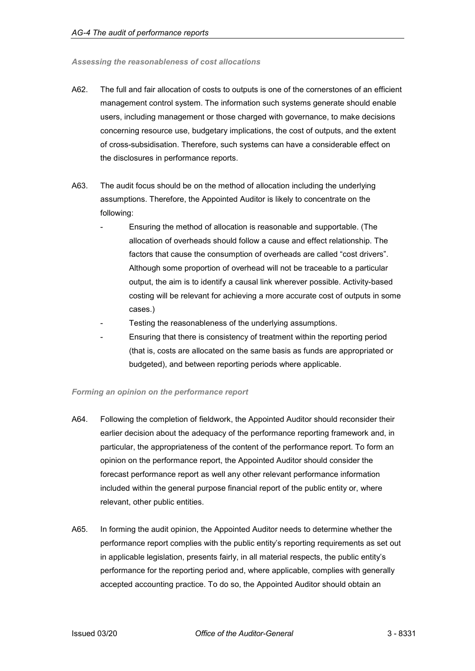#### *Assessing the reasonableness of cost allocations*

- A62. The full and fair allocation of costs to outputs is one of the cornerstones of an efficient management control system. The information such systems generate should enable users, including management or those charged with governance, to make decisions concerning resource use, budgetary implications, the cost of outputs, and the extent of cross-subsidisation. Therefore, such systems can have a considerable effect on the disclosures in performance reports.
- A63. The audit focus should be on the method of allocation including the underlying assumptions. Therefore, the Appointed Auditor is likely to concentrate on the following:
	- Ensuring the method of allocation is reasonable and supportable. (The allocation of overheads should follow a cause and effect relationship. The factors that cause the consumption of overheads are called "cost drivers". Although some proportion of overhead will not be traceable to a particular output, the aim is to identify a causal link wherever possible. Activity-based costing will be relevant for achieving a more accurate cost of outputs in some cases.)
	- Testing the reasonableness of the underlying assumptions.
	- Ensuring that there is consistency of treatment within the reporting period (that is, costs are allocated on the same basis as funds are appropriated or budgeted), and between reporting periods where applicable.

### *Forming an opinion on the performance report*

- A64. Following the completion of fieldwork, the Appointed Auditor should reconsider their earlier decision about the adequacy of the performance reporting framework and, in particular, the appropriateness of the content of the performance report. To form an opinion on the performance report, the Appointed Auditor should consider the forecast performance report as well any other relevant performance information included within the general purpose financial report of the public entity or, where relevant, other public entities.
- A65. In forming the audit opinion, the Appointed Auditor needs to determine whether the performance report complies with the public entity's reporting requirements as set out in applicable legislation, presents fairly, in all material respects, the public entity's performance for the reporting period and, where applicable, complies with generally accepted accounting practice. To do so, the Appointed Auditor should obtain an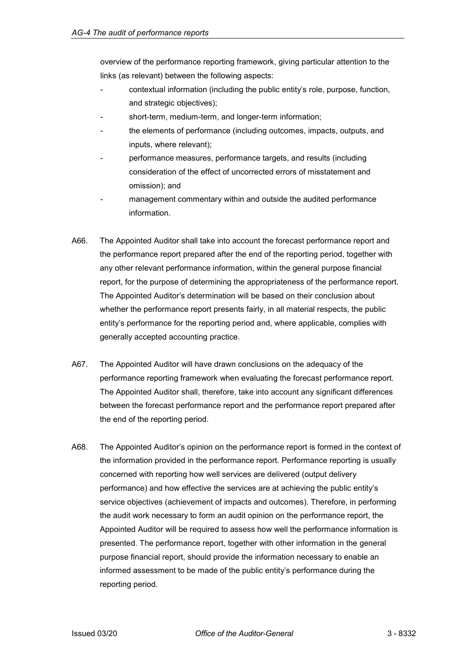overview of the performance reporting framework, giving particular attention to the links (as relevant) between the following aspects:

- contextual information (including the public entity's role, purpose, function, and strategic objectives);
- short-term, medium-term, and longer-term information;
- the elements of performance (including outcomes, impacts, outputs, and inputs, where relevant);
- performance measures, performance targets, and results (including consideration of the effect of uncorrected errors of misstatement and omission); and
- management commentary within and outside the audited performance information.
- A66. The Appointed Auditor shall take into account the forecast performance report and the performance report prepared after the end of the reporting period, together with any other relevant performance information, within the general purpose financial report, for the purpose of determining the appropriateness of the performance report. The Appointed Auditor's determination will be based on their conclusion about whether the performance report presents fairly, in all material respects, the public entity's performance for the reporting period and, where applicable, complies with generally accepted accounting practice.
- A67. The Appointed Auditor will have drawn conclusions on the adequacy of the performance reporting framework when evaluating the forecast performance report. The Appointed Auditor shall, therefore, take into account any significant differences between the forecast performance report and the performance report prepared after the end of the reporting period.
- A68. The Appointed Auditor's opinion on the performance report is formed in the context of the information provided in the performance report. Performance reporting is usually concerned with reporting how well services are delivered (output delivery performance) and how effective the services are at achieving the public entity's service objectives (achievement of impacts and outcomes). Therefore, in performing the audit work necessary to form an audit opinion on the performance report, the Appointed Auditor will be required to assess how well the performance information is presented. The performance report, together with other information in the general purpose financial report, should provide the information necessary to enable an informed assessment to be made of the public entity's performance during the reporting period.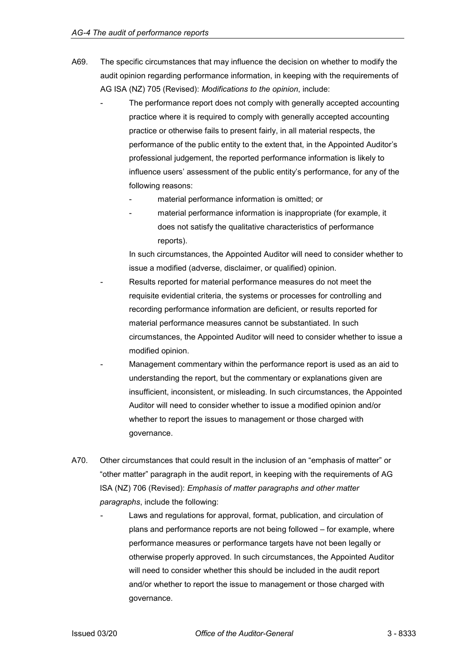- A69. The specific circumstances that may influence the decision on whether to modify the audit opinion regarding performance information, in keeping with the requirements of AG ISA (NZ) 705 (Revised): *Modifications to the opinion*, include:
	- The performance report does not comply with generally accepted accounting practice where it is required to comply with generally accepted accounting practice or otherwise fails to present fairly, in all material respects, the performance of the public entity to the extent that, in the Appointed Auditor's professional judgement, the reported performance information is likely to influence users' assessment of the public entity's performance, for any of the following reasons:
		- material performance information is omitted; or
		- material performance information is inappropriate (for example, it does not satisfy the qualitative characteristics of performance reports).

In such circumstances, the Appointed Auditor will need to consider whether to issue a modified (adverse, disclaimer, or qualified) opinion.

- Results reported for material performance measures do not meet the requisite evidential criteria, the systems or processes for controlling and recording performance information are deficient, or results reported for material performance measures cannot be substantiated. In such circumstances, the Appointed Auditor will need to consider whether to issue a modified opinion.
- Management commentary within the performance report is used as an aid to understanding the report, but the commentary or explanations given are insufficient, inconsistent, or misleading. In such circumstances, the Appointed Auditor will need to consider whether to issue a modified opinion and/or whether to report the issues to management or those charged with governance.
- A70. Other circumstances that could result in the inclusion of an "emphasis of matter" or "other matter" paragraph in the audit report, in keeping with the requirements of AG ISA (NZ) 706 (Revised): *Emphasis of matter paragraphs and other matter paragraphs*, include the following:
	- Laws and regulations for approval, format, publication, and circulation of plans and performance reports are not being followed – for example, where performance measures or performance targets have not been legally or otherwise properly approved. In such circumstances, the Appointed Auditor will need to consider whether this should be included in the audit report and/or whether to report the issue to management or those charged with governance.